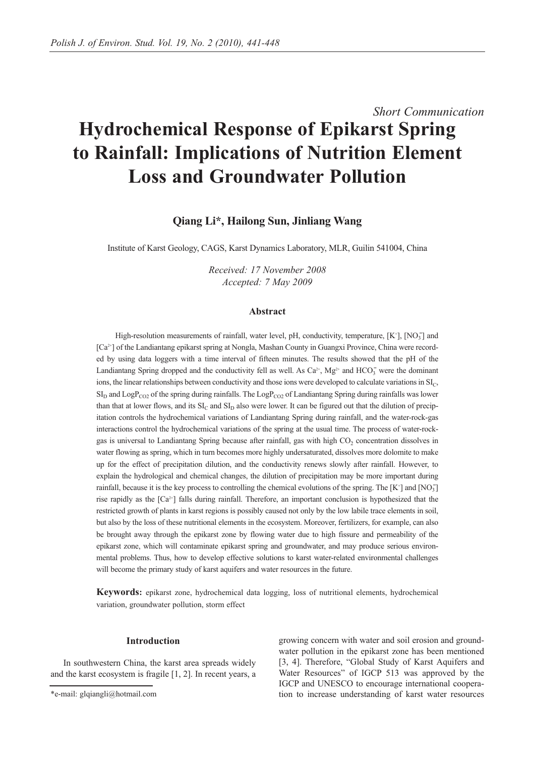# *Short Communication*  **Hydrochemical Response of Epikarst Spring to Rainfall: Implications of Nutrition Element Loss and Groundwater Pollution**

# **Qiang Li\*, Hailong Sun, Jinliang Wang**

Institute of Karst Geology, CAGS, Karst Dynamics Laboratory, MLR, Guilin 541004, China

*Received: 17 November 2008 Accepted: 7 May 2009*

## **Abstract**

High-resolution measurements of rainfall, water level, pH, conductivity, temperature,  $[K^{\dagger}]$ ,  $[NO_3^-]$  and [Ca2+] of the Landiantang epikarst spring at Nongla, Mashan County in Guangxi Province, China were recorded by using data loggers with a time interval of fifteen minutes. The results showed that the pH of the Landiantang Spring dropped and the conductivity fell as well. As  $Ca^{2+}$ , Mg<sup>2+</sup> and HCO<sub>3</sub> were the dominant ions, the linear relationships between conductivity and those ions were developed to calculate variations in  $SI_C$ ,  $SI_D$  and  $LogP_{CO2}$  of the spring during rainfalls. The  $LogP_{CO2}$  of Landiantang Spring during rainfalls was lower than that at lower flows, and its  $SI_C$  and  $SI_D$  also were lower. It can be figured out that the dilution of precipitation controls the hydrochemical variations of Landiantang Spring during rainfall, and the water-rock-gas interactions control the hydrochemical variations of the spring at the usual time. The process of water-rockgas is universal to Landiantang Spring because after rainfall, gas with high CO<sub>2</sub> concentration dissolves in water flowing as spring, which in turn becomes more highly undersaturated, dissolves more dolomite to make up for the effect of precipitation dilution, and the conductivity renews slowly after rainfall. However, to explain the hydrological and chemical changes, the dilution of precipitation may be more important during rainfall, because it is the key process to controlling the chemical evolutions of the spring. The  $[K^*]$  and  $[NO_3]$ rise rapidly as the [Ca<sup>2+</sup>] falls during rainfall. Therefore, an important conclusion is hypothesized that the restricted growth of plants in karst regions is possibly caused not only by the low labile trace elements in soil, but also by the loss of these nutritional elements in the ecosystem. Moreover, fertilizers, for example, can also be brought away through the epikarst zone by flowing water due to high fissure and permeability of the epikarst zone, which will contaminate epikarst spring and groundwater, and may produce serious environmental problems. Thus, how to develop effective solutions to karst water-related environmental challenges will become the primary study of karst aquifers and water resources in the future.

**Keywords:** epikarst zone, hydrochemical data logging, loss of nutritional elements, hydrochemical variation, groundwater pollution, storm effect

### **Introduction**

In southwestern China, the karst area spreads widely and the karst ecosystem is fragile [1, 2]. In recent years, a

growing concern with water and soil erosion and groundwater pollution in the epikarst zone has been mentioned [3, 4]. Therefore, "Global Study of Karst Aquifers and Water Resources" of IGCP 513 was approved by the IGCP and UNESCO to encourage international cooperation to increase understanding of karst water resources

<sup>\*</sup>e-mail: glqiangli@hotmail.com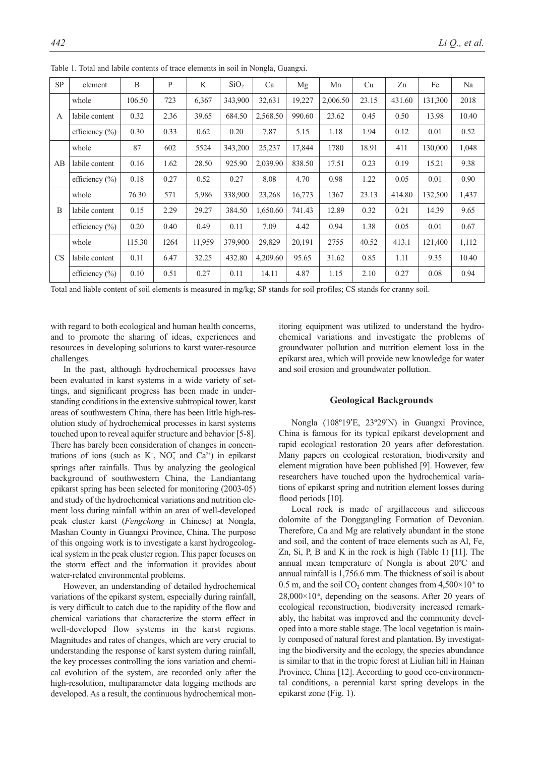| SP        | element            | B      | P    | K      | SiO <sub>2</sub> | Ca       | Mg     | Mn       | Cu    | Zn     | Fe      | Na    |
|-----------|--------------------|--------|------|--------|------------------|----------|--------|----------|-------|--------|---------|-------|
| A         | whole              | 106.50 | 723  | 6,367  | 343,900          | 32,631   | 19,227 | 2,006.50 | 23.15 | 431.60 | 131,300 | 2018  |
|           | labile content     | 0.32   | 2.36 | 39.65  | 684.50           | 2,568.50 | 990.60 | 23.62    | 0.45  | 0.50   | 13.98   | 10.40 |
|           | efficiency $(\% )$ | 0.30   | 0.33 | 0.62   | 0.20             | 7.87     | 5.15   | 1.18     | 1.94  | 0.12   | 0.01    | 0.52  |
| AB        | whole              | 87     | 602  | 5524   | 343,200          | 25,237   | 17,844 | 1780     | 18.91 | 411    | 130,000 | 1,048 |
|           | labile content     | 0.16   | 1.62 | 28.50  | 925.90           | 2,039.90 | 838.50 | 17.51    | 0.23  | 0.19   | 15.21   | 9.38  |
|           | efficiency $(\% )$ | 0.18   | 0.27 | 0.52   | 0.27             | 8.08     | 4.70   | 0.98     | 1.22  | 0.05   | 0.01    | 0.90  |
| B         | whole              | 76.30  | 571  | 5,986  | 338,900          | 23,268   | 16,773 | 1367     | 23.13 | 414.80 | 132,500 | 1,437 |
|           | labile content     | 0.15   | 2.29 | 29.27  | 384.50           | 1,650.60 | 741.43 | 12.89    | 0.32  | 0.21   | 14.39   | 9.65  |
|           | efficiency $(\% )$ | 0.20   | 0.40 | 0.49   | 0.11             | 7.09     | 4.42   | 0.94     | 1.38  | 0.05   | 0.01    | 0.67  |
| <b>CS</b> | whole              | 115.30 | 1264 | 11,959 | 379,900          | 29,829   | 20,191 | 2755     | 40.52 | 413.1  | 121,400 | 1,112 |
|           | labile content     | 0.11   | 6.47 | 32.25  | 432.80           | 4,209.60 | 95.65  | 31.62    | 0.85  | 1.11   | 9.35    | 10.40 |
|           | efficiency $(\%)$  | 0.10   | 0.51 | 0.27   | 0.11             | 14.11    | 4.87   | 1.15     | 2.10  | 0.27   | 0.08    | 0.94  |

Table 1. Total and labile contents of trace elements in soil in Nongla, Guangxi.

Total and liable content of soil elements is measured in mg/kg; SP stands for soil profiles; CS stands for cranny soil.

with regard to both ecological and human health concerns, and to promote the sharing of ideas, experiences and resources in developing solutions to karst water-resource challenges.

In the past, although hydrochemical processes have been evaluated in karst systems in a wide variety of settings, and significant progress has been made in understanding conditions in the extensive subtropical tower, karst areas of southwestern China, there has been little high-resolution study of hydrochemical processes in karst systems touched upon to reveal aquifer structure and behavior [5-8]. There has barely been consideration of changes in concentrations of ions (such as  $K^+$ , NO<sub>3</sub> and Ca<sup>2+</sup>) in epikarst springs after rainfalls. Thus by analyzing the geological background of southwestern China, the Landiantang epikarst spring has been selected for monitoring (2003-05) and study of the hydrochemical variations and nutrition element loss during rainfall within an area of well-developed peak cluster karst (*Fengchong* in Chinese) at Nongla, Mashan County in Guangxi Province, China. The purpose of this ongoing work is to investigate a karst hydrogeological system in the peak cluster region. This paper focuses on the storm effect and the information it provides about water-related environmental problems.

However, an understanding of detailed hydrochemical variations of the epikarst system, especially during rainfall, is very difficult to catch due to the rapidity of the flow and chemical variations that characterize the storm effect in well-developed flow systems in the karst regions. Magnitudes and rates of changes, which are very crucial to understanding the response of karst system during rainfall, the key processes controlling the ions variation and chemical evolution of the system, are recorded only after the high-resolution, multiparameter data logging methods are developed. As a result, the continuous hydrochemical monitoring equipment was utilized to understand the hydrochemical variations and investigate the problems of groundwater pollution and nutrition element loss in the epikarst area, which will provide new knowledge for water and soil erosion and groundwater pollution.

### **Geological Backgrounds**

Nongla (108º19'E, 23º29'N) in Guangxi Province, China is famous for its typical epikarst development and rapid ecological restoration 20 years after deforestation. Many papers on ecological restoration, biodiversity and element migration have been published [9]. However, few researchers have touched upon the hydrochemical variations of epikarst spring and nutrition element losses during flood periods [10].

Local rock is made of argillaceous and siliceous dolomite of the Donggangling Formation of Devonian. Therefore, Ca and Mg are relatively abundant in the stone and soil, and the content of trace elements such as Al, Fe, Zn, Si, P, B and K in the rock is high (Table 1) [11]. The annual mean temperature of Nongla is about 20ºC and annual rainfall is 1,756.6 mm. The thickness of soil is about 0.5 m, and the soil  $CO_2$  content changes from 4,500 $\times$ 10<sup>-6</sup> to  $28,000\times10^{-6}$ , depending on the seasons. After 20 years of ecological reconstruction, biodiversity increased remarkably, the habitat was improved and the community developed into a more stable stage. The local vegetation is mainly composed of natural forest and plantation. By investigating the biodiversity and the ecology, the species abundance is similar to that in the tropic forest at Liulian hill in Hainan Province, China [12]. According to good eco-environmental conditions, a perennial karst spring develops in the epikarst zone (Fig. 1).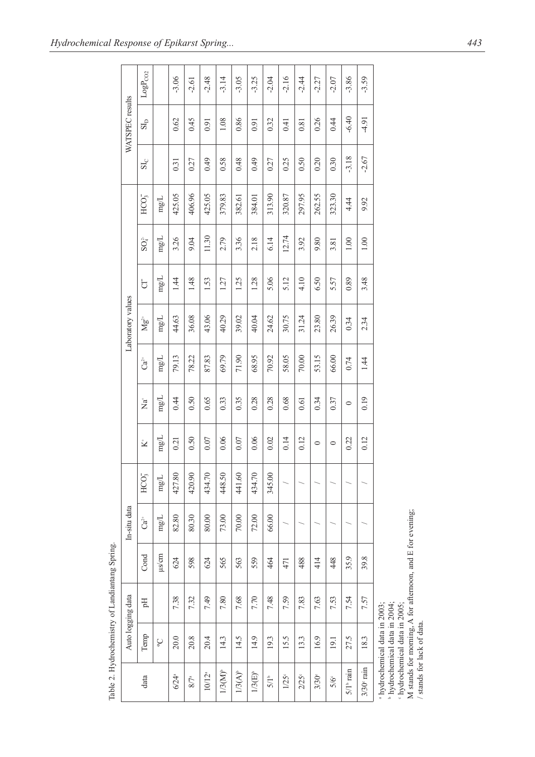| WATSPEC results   | $LogP_{CO2}$                |                     | $-3.06$          | $-2.61$   | $-2.48$    | $-3.14$      | $-3.05$      | $-3.25$            | $-2.04$  | $-2.16$  | $-2.44$             | $-2.27$       | $-2.07$                 | $-3.86$                  | $-3.59$ |
|-------------------|-----------------------------|---------------------|------------------|-----------|------------|--------------|--------------|--------------------|----------|----------|---------------------|---------------|-------------------------|--------------------------|---------|
|                   | $\mathrm{S}L\mathrm{D}$     |                     | 0.62             | 645       | 0.91       | 1.08         | 0.86         | 0.91               | 0.32     | 0.41     | 0.81                | 0.26          | 0.44                    | $-6.40$                  | $-4.91$ |
|                   | $SL_C$                      |                     | 0.31             | 0.27      | 64.0       | 0.58         | 0.48         | 64.0               | 0.27     | 0.25     | 0.50                | 0.20          | 0.30                    | $-3.18$                  | $-2.67$ |
|                   | HCO <sub>3</sub>            | $\mathrm{mgL}$      | 425.05           | 406.96    | 425.05     | 379.83       | 382.61       | 384.01             | 313.90   | 320.87   | 297.95              | 262.55        | 323.30                  | 4.44                     | 9.92    |
|                   | $SO_4^2$                    | $mg/L$              | 3.26             | 9.04      | 11.30      | 2.79         | 3.36         | 2.18               | 6.14     | 12.74    | 3.92                | 9.80          | 3.81                    | 1.00                     | 1.00    |
|                   | 5                           | $\rm mg/L$          | <u>। 4</u>       | 1.48      | 1.53       | 1.27         | 1.25         | 1.28               | 5.06     | 5.12     | 4.10                | 6.50          | 5.57                    | 0.89                     | 3.48    |
| Laboratory values | $\mathbf{M}\mathbf{g}^{2+}$ | $\rm mg/L$          | 44.63            | 36.08     | 43.06      | 40.29        | 39.02        | 40.04              | 24.62    | 30.75    | 31.24               | 23.80         | 26.39                   | 0.34                     | 2.34    |
|                   | යි                          | $\rm mgL$           | 79.13            | 78.22     | 87.83      | 69.79        | 71.90        | 68.95              | 70.92    | 58.05    | 70.00               | 53.15         | 66.00                   | 0.74                     | 1.44    |
|                   | $\overline{a}^*$            | $\rm mg/L$          | 0.44             | 0.50      | 0.65       | 0.33         | 0.35         | 0.28               | 0.28     | 0.68     | 0.61                | 0.34          | 0.37                    | $\circ$                  | 0.19    |
|                   | $\vec{\bm{\Sigma}}^*$       | $\rm mg/L$          | 0.21             | 0.50      | 0.07       | 0.06         | 0.07         | 0.06               | 0.02     | 0.14     | 0.12                | $\circ$       | $\circ$                 | 0.22                     | 0.12    |
|                   | HCO <sub>3</sub>            | $\rm mg/L$          | 427.80           | 420.90    | 434.70     | 448.50       | 441.60       | 434.70             | 345.00   |          |                     |               |                         |                          |         |
| In-situ data      | $Ca^{2+}$                   | $\rm mgL$           | 82.80            | 80.30     | 80.00      | 73.00        | $70.00$      | 72.00              | 66.00    |          |                     |               |                         |                          |         |
|                   | Cond                        | $\mu$ s/cm          | 624              | 598       | 624        | 565          | 563          | 559                | 464      | 471      | 488                 | 414           | 448                     | 35.9                     | 39.8    |
|                   | H                           |                     | 7.38             | 7.32      | 7.49       | 7.80         | 7.68         | 7.70               | 7.48     | 7.59     | 7.83                | 7.63          | 7.53                    | 7.54                     | 7.57    |
| Auto logging data | Temp                        | $\mathcal{S}$       | 20.0             | 20.8      | 20.4       | 14.3         | 14.5         | 14.9               | 19.3     | 15.5     | 13.3                | 16.9          | 19.1                    | 27.5                     | 18.3    |
| data              |                             | $6/24$ <sup>a</sup> | $8/7\mathrm{^a}$ | $10/12^a$ | $1/3(M)^b$ | $1/3(A)^{b}$ | $1/3(E)^{6}$ | $5/1$ <sup>b</sup> | $1/25$ ° | $2/25$ ° | $3/30$ <sup>c</sup> | $5/6^{\circ}$ | $5/1$ <sup>b</sup> rain | $3/30$ <sup>e</sup> rain |         |

Table 2. Hydrochemistry of Landiantang Spring. Table 2. Hydrochemistry of Landiantang Spring.

b hydrochemical data in 2004; hydrochemical data in 2005;

 $\alpha$  and  $\alpha$ 

hydrochemical data in 2003;

M stands for morning, A for afternoon, and E for evening;

/ stands for lack of data.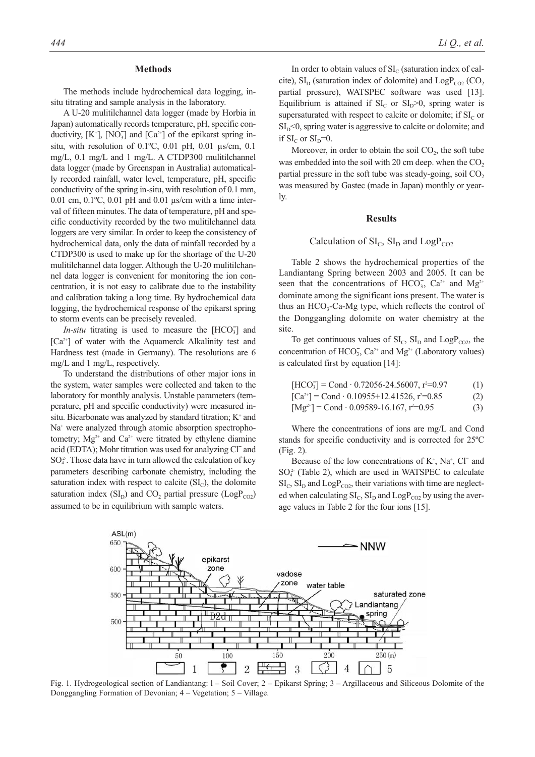## **Methods**

The methods include hydrochemical data logging, insitu titrating and sample analysis in the laboratory.

A U-20 mulitilchannel data logger (made by Horbia in Japan) automatically records temperature, pH, specific conductivity,  $[K^{\dagger}]$ ,  $[NO_3^-]$  and  $[Ca^{2+}]$  of the epikarst spring insitu, with resolution of 0.1ºC, 0.01 pH, 0.01 µs/cm, 0.1 mg/L, 0.1 mg/L and 1 mg/L. A CTDP300 mulitilchannel data logger (made by Greenspan in Australia) automatically recorded rainfall, water level, temperature, pH, specific conductivity of the spring in-situ, with resolution of 0.1 mm, 0.01 cm,  $0.1^{\circ}$ C,  $0.01$  pH and  $0.01$   $\mu$ s/cm with a time interval of fifteen minutes. The data of temperature, pH and specific conductivity recorded by the two mulitilchannel data loggers are very similar. In order to keep the consistency of hydrochemical data, only the data of rainfall recorded by a CTDP300 is used to make up for the shortage of the U-20 mulitilchannel data logger. Although the U-20 mulitilchannel data logger is convenient for monitoring the ion concentration, it is not easy to calibrate due to the instability and calibration taking a long time. By hydrochemical data logging, the hydrochemical response of the epikarst spring to storm events can be precisely revealed.

*In-situ* titrating is used to measure the  $[HCO<sub>3</sub>]$  and  $[Ca^{2+}]$  of water with the Aquamerck Alkalinity test and Hardness test (made in Germany). The resolutions are 6 mg/L and 1 mg/L, respectively.

To understand the distributions of other major ions in the system, water samples were collected and taken to the laboratory for monthly analysis. Unstable parameters (temperature, pH and specific conductivity) were measured insitu. Bicarbonate was analyzed by standard titration; K<sup>+</sup> and Na<sup>+</sup> were analyzed through atomic absorption spectrophotometry;  $Mg^{2+}$  and  $Ca^{2+}$  were titrated by ethylene diamine acid (EDTA); Mohr titration was used for analyzing Cl<sup>-</sup> and  $SO<sub>4</sub><sup>2</sup>$ . Those data have in turn allowed the calculation of key parameters describing carbonate chemistry, including the saturation index with respect to calcite  $(SI_C)$ , the dolomite saturation index  $(SI_D)$  and  $CO<sub>2</sub>$  partial pressure  $(LogP_{CO2})$ assumed to be in equilibrium with sample waters.

In order to obtain values of  $SI_C$  (saturation index of calcite),  $SI_{D}$  (saturation index of dolomite) and  $LogP_{CO2}$  (CO<sub>2</sub> partial pressure), WATSPEC software was used [13]. Equilibrium is attained if  $SI<sub>C</sub>$  or  $SI<sub>D</sub>$  or  $S$ <sub>b</sub> spring water is supersaturated with respect to calcite or dolomite; if  $SI<sub>C</sub>$  or  $SI<sub>D</sub> < 0$ , spring water is aggressive to calcite or dolomite; and if  $SI<sub>C</sub>$  or  $SI<sub>D</sub>=0$ .

Moreover, in order to obtain the soil  $CO<sub>2</sub>$ , the soft tube was embedded into the soil with 20 cm deep. when the  $CO<sub>2</sub>$ partial pressure in the soft tube was steady-going, soil  $CO<sub>2</sub>$ was measured by Gastec (made in Japan) monthly or yearly.

### **Results**

# Calculation of  $SI_C$ ,  $SI_D$  and LogP<sub>CO2</sub>

Table 2 shows the hydrochemical properties of the Landiantang Spring between 2003 and 2005. It can be seen that the concentrations of  $HCO_3^-$ ,  $Ca^{2+}$  and  $Mg^{2+}$ dominate among the significant ions present. The water is thus an  $HCO<sub>3</sub>-Ca-Mg$  type, which reflects the control of the Donggangling dolomite on water chemistry at the site.

To get continuous values of  $SI_C$ ,  $SI_D$  and  $LogP_{CO2}$ , the concentration of  $HCO<sub>3</sub>$ ,  $Ca<sup>2+</sup>$  and  $Mg<sup>2+</sup>$  (Laboratory values) is calculated first by equation [14]:

$$
[HCO3] = Cond \cdot 0.72056-24.56007, r2=0.97
$$
 (1)

 $[Ca^{2+}] = Cond \cdot 0.10955 + 12.41526$ ,  $r^2 = 0.85$  (2)

$$
[Mg^{2+}] = Cond \cdot 0.09589 - 16.167, r^2 = 0.95
$$
 (3)

Where the concentrations of ions are mg/L and Cond stands for specific conductivity and is corrected for 25ºC (Fig. 2).

Because of the low concentrations of  $K^+$ , Na<sup>+</sup>, Cl<sup> $-$ </sup> and  $SO<sub>4</sub><sup>2</sup>$  (Table 2), which are used in WATSPEC to calculate  $\mathrm{SI}_\mathrm{C}$ ,  $\mathrm{SI}_\mathrm{D}$  and  $\mathrm{LogP}_{\mathrm{CO2}}$ , their variations with time are neglected when calculating  $\mathrm{SI}_\mathrm{C}$ ,  $\mathrm{SI}_\mathrm{D}$  and  $\mathrm{LogP_{CO2}}$  by using the average values in Table 2 for the four ions [15].



Fig. 1. Hydrogeological section of Landiantang: l – Soil Cover; 2 – Epikarst Spring; 3 – Argillaceous and Siliceous Dolomite of the Donggangling Formation of Devonian; 4 – Vegetation; 5 – Village.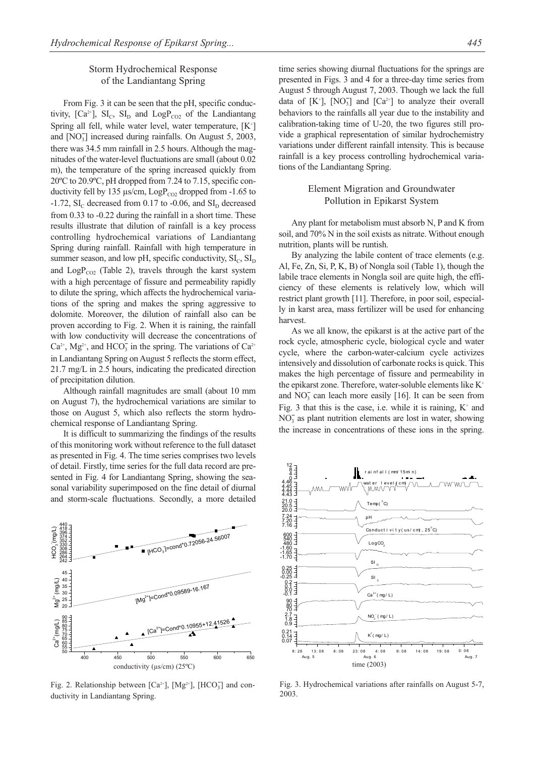# Storm Hydrochemical Response of the Landiantang Spring

From Fig. 3 it can be seen that the pH, specific conductivity,  $[Ca^{2+}]$ ,  $SI_C$ ,  $SI_D$  and  $LogP_{CO2}$  of the Landiantang Spring all fell, while water level, water temperature, [K<sup>+</sup>] and [NO<sub>3</sub>] increased during rainfalls. On August 5, 2003, there was 34.5 mm rainfall in 2.5 hours. Although the magnitudes of the water-level fluctuations are small (about 0.02 m), the temperature of the spring increased quickly from 20ºC to 20.9ºC, pH dropped from 7.24 to 7.15, specific conductivity fell by 135  $\mu$ s/cm, LogP<sub>cO2</sub> dropped from -1.65 to  $-1.72$ , SI<sub>C</sub> decreased from 0.17 to  $-0.06$ , and SI<sub>D</sub> decreased from 0.33 to -0.22 during the rainfall in a short time. These results illustrate that dilution of rainfall is a key process controlling hydrochemical variations of Landiantang Spring during rainfall. Rainfall with high temperature in summer season, and low pH, specific conductivity,  $SI<sub>c</sub>$ ,  $SI<sub>D</sub>$ and  $\text{LogP}_{CO2}$  (Table 2), travels through the karst system with a high percentage of fissure and permeability rapidly to dilute the spring, which affects the hydrochemical variations of the spring and makes the spring aggressive to dolomite. Moreover, the dilution of rainfall also can be proven according to Fig. 2. When it is raining, the rainfall with low conductivity will decrease the concentrations of  $Ca^{2+}$ , Mg<sup>2+</sup>, and HCO<sub>3</sub> in the spring. The variations of  $Ca^{2+}$ in Landiantang Spring on August 5 reflects the storm effect, 21.7 mg/L in 2.5 hours, indicating the predicated direction of precipitation dilution.

Although rainfall magnitudes are small (about 10 mm on August 7), the hydrochemical variations are similar to those on August 5, which also reflects the storm hydrochemical response of Landiantang Spring.

It is difficult to summarizing the findings of the results of this monitoring work without reference to the full dataset as presented in Fig. 4. The time series comprises two levels of detail. Firstly, time series for the full data record are presented in Fig. 4 for Landiantang Spring, showing the seasonal variability superimposed on the fine detail of diurnal and storm-scale fluctuations. Secondly, a more detailed



Fig. 2. Relationship between  $[Ca^{2+}]$ ,  $[Mg^{2+}]$ ,  $[HCO_3^-]$  and conductivity in Landiantang Spring.

time series showing diurnal fluctuations for the springs are presented in Figs. 3 and 4 for a three-day time series from August 5 through August 7, 2003. Though we lack the full data of  $[K^{\dagger}]$ ,  $[NO_3^{\dagger}]$  and  $[Ca^{2+}]$  to analyze their overall behaviors to the rainfalls all year due to the instability and calibration-taking time of U-20, the two figures still provide a graphical representation of similar hydrochemistry variations under different rainfall intensity. This is because rainfall is a key process controlling hydrochemical variations of the Landiantang Spring.

# Element Migration and Groundwater Pollution in Epikarst System

Any plant for metabolism must absorb N, P and K from soil, and 70% N in the soil exists as nitrate. Without enough nutrition, plants will be runtish.

By analyzing the labile content of trace elements (e.g. Al, Fe, Zn, Si, P, K, B) of Nongla soil (Table 1), though the labile trace elements in Nongla soil are quite high, the efficiency of these elements is relatively low, which will restrict plant growth [11]. Therefore, in poor soil, especially in karst area, mass fertilizer will be used for enhancing harvest.

As we all know, the epikarst is at the active part of the rock cycle, atmospheric cycle, biological cycle and water cycle, where the carbon-water-calcium cycle activizes intensively and dissolution of carbonate rocks is quick. This makes the high percentage of fissure and permeability in the epikarst zone. Therefore, water-soluble elements like  $K^+$ and  $NO<sub>3</sub>$  can leach more easily [16]. It can be seen from Fig. 3 that this is the case, i.e. while it is raining,  $K^+$  and  $NO<sub>3</sub><sup>-</sup>$  as plant nutrition elements are lost in water, showing the increase in concentrations of these ions in the spring.



Fig. 3. Hydrochemical variations after rainfalls on August 5-7, 2003.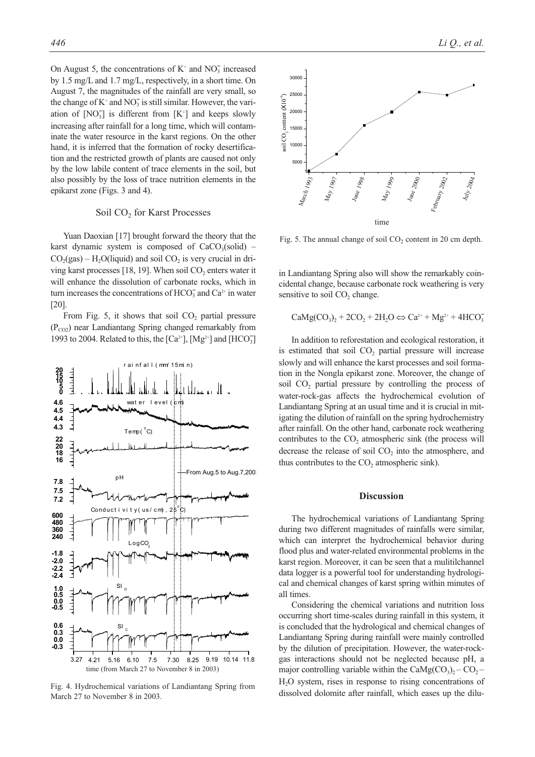On August 5, the concentrations of  $K^+$  and  $NO_3^-$  increased by 1.5 mg/L and 1.7 mg/L, respectively, in a short time. On August 7, the magnitudes of the rainfall are very small, so the change of  $K^+$  and  $NO_3^-$  is still similar. However, the variation of  $[NO<sub>3</sub>]<sub>3</sub>$  is different from  $[K<sup>+</sup>]$  and keeps slowly increasing after rainfall for a long time, which will contaminate the water resource in the karst regions. On the other hand, it is inferred that the formation of rocky desertification and the restricted growth of plants are caused not only by the low labile content of trace elements in the soil, but also possibly by the loss of trace nutrition elements in the epikarst zone (Figs. 3 and 4).

## Soil CO<sub>2</sub> for Karst Processes

Yuan Daoxian [17] brought forward the theory that the karst dynamic system is composed of  $CaCO<sub>3</sub>(solid)$  –  $CO<sub>2</sub>(gas) - H<sub>2</sub>O(liquid)$  and soil  $CO<sub>2</sub>$  is very crucial in driving karst processes [18, 19]. When soil  $CO<sub>2</sub>$  enters water it will enhance the dissolution of carbonate rocks, which in turn increases the concentrations of  $HCO_3^-$  and  $Ca^{2+}$  in water [20].

From Fig. 5, it shows that soil  $CO<sub>2</sub>$  partial pressure  $(P_{CO2})$  near Landiantang Spring changed remarkably from 1993 to 2004. Related to this, the  $\left[Ca^{2+}\right]$ ,  $\left[Mg^{2+}\right]$  and  $\left[HCO_3^-\right]$ 



Fig. 4. Hydrochemical variations of Landiantang Spring from March 27 to November 8 in 2003.



Fig. 5. The annual change of soil  $CO<sub>2</sub>$  content in 20 cm depth.

in Landiantang Spring also will show the remarkably coincidental change, because carbonate rock weathering is very sensitive to soil CO<sub>2</sub> change.

$$
CaMg(CO_3)_2 + 2CO_2 + 2H_2O \Leftrightarrow Ca^{2+} + Mg^{2+} + 4HCO_3^-
$$

In addition to reforestation and ecological restoration, it is estimated that soil  $CO<sub>2</sub>$  partial pressure will increase slowly and will enhance the karst processes and soil formation in the Nongla epikarst zone. Moreover, the change of soil  $CO<sub>2</sub>$  partial pressure by controlling the process of water-rock-gas affects the hydrochemical evolution of Landiantang Spring at an usual time and it is crucial in mitigating the dilution of rainfall on the spring hydrochemistry after rainfall. On the other hand, carbonate rock weathering contributes to the  $CO<sub>2</sub>$  atmospheric sink (the process will decrease the release of soil CO<sub>2</sub> into the atmosphere, and thus contributes to the CO<sub>2</sub> atmospheric sink).

## **Discussion**

The hydrochemical variations of Landiantang Spring during two different magnitudes of rainfalls were similar, which can interpret the hydrochemical behavior during flood plus and water-related environmental problems in the karst region. Moreover, it can be seen that a mulitilchannel data logger is a powerful tool for understanding hydrological and chemical changes of karst spring within minutes of all times.

Considering the chemical variations and nutrition loss occurring short time-scales during rainfall in this system, it is concluded that the hydrological and chemical changes of Landiantang Spring during rainfall were mainly controlled by the dilution of precipitation. However, the water-rockgas interactions should not be neglected because pH, a major controlling variable within the CaMg(CO<sub>3</sub>)<sub>2</sub> – CO<sub>2</sub> – H2O system, rises in response to rising concentrations of dissolved dolomite after rainfall, which eases up the dilu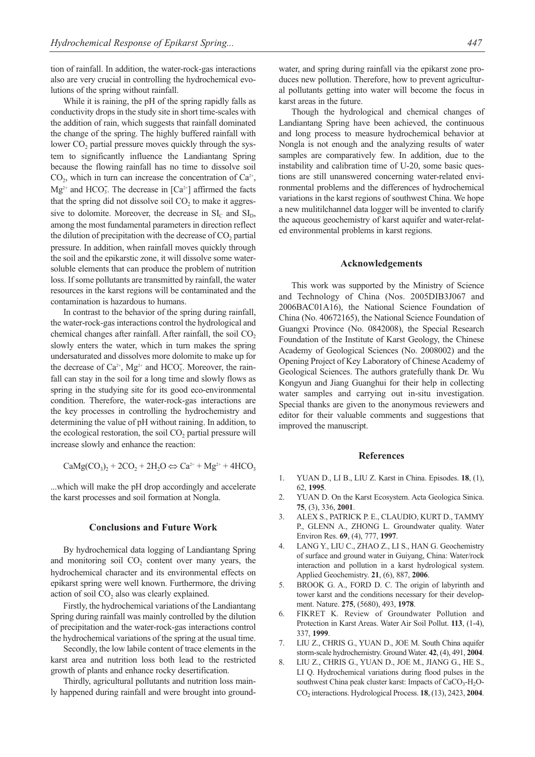tion of rainfall. In addition, the water-rock-gas interactions also are very crucial in controlling the hydrochemical evolutions of the spring without rainfall.

While it is raining, the pH of the spring rapidly falls as conductivity drops in the study site in short time-scales with the addition of rain, which suggests that rainfall dominated the change of the spring. The highly buffered rainfall with lower  $CO<sub>2</sub>$  partial pressure moves quickly through the system to significantly influence the Landiantang Spring because the flowing rainfall has no time to dissolve soil  $CO<sub>2</sub>$ , which in turn can increase the concentration of  $Ca<sup>2+</sup>$ ,  $Mg^{2+}$  and HCO<sub>3</sub>. The decrease in [Ca<sup>2+</sup>] affirmed the facts that the spring did not dissolve soil  $CO<sub>2</sub>$  to make it aggressive to dolomite. Moreover, the decrease in  $SI<sub>c</sub>$  and  $SI<sub>D</sub>$ , among the most fundamental parameters in direction reflect the dilution of precipitation with the decrease of  $CO<sub>2</sub>$  partial pressure. In addition, when rainfall moves quickly through the soil and the epikarstic zone, it will dissolve some watersoluble elements that can produce the problem of nutrition loss. If some pollutants are transmitted by rainfall, the water resources in the karst regions will be contaminated and the contamination is hazardous to humans.

In contrast to the behavior of the spring during rainfall, the water-rock-gas interactions control the hydrological and chemical changes after rainfall. After rainfall, the soil  $CO<sub>2</sub>$ slowly enters the water, which in turn makes the spring undersaturated and dissolves more dolomite to make up for the decrease of  $Ca^{2+}$ , Mg<sup>2+</sup> and HCO<sub>3</sub>. Moreover, the rainfall can stay in the soil for a long time and slowly flows as spring in the studying site for its good eco-environmental condition. Therefore, the water-rock-gas interactions are the key processes in controlling the hydrochemistry and determining the value of pH without raining. In addition, to the ecological restoration, the soil CO<sub>2</sub> partial pressure will increase slowly and enhance the reaction:

$$
CaMg(CO_3)_2 + 2CO_2 + 2H_2O \Leftrightarrow Ca^{2+} + Mg^{2+} + 4HCO_3
$$

...which will make the pH drop accordingly and accelerate the karst processes and soil formation at Nongla.

### **Conclusions and Future Work**

By hydrochemical data logging of Landiantang Spring and monitoring soil  $CO<sub>2</sub>$  content over many years, the hydrochemical character and its environmental effects on epikarst spring were well known. Furthermore, the driving action of soil  $CO<sub>2</sub>$  also was clearly explained.

Firstly, the hydrochemical variations of the Landiantang Spring during rainfall was mainly controlled by the dilution of precipitation and the water-rock-gas interactions control the hydrochemical variations of the spring at the usual time.

Secondly, the low labile content of trace elements in the karst area and nutrition loss both lead to the restricted growth of plants and enhance rocky desertification.

Thirdly, agricultural pollutants and nutrition loss mainly happened during rainfall and were brought into groundwater, and spring during rainfall via the epikarst zone produces new pollution. Therefore, how to prevent agricultural pollutants getting into water will become the focus in karst areas in the future.

Though the hydrological and chemical changes of Landiantang Spring have been achieved, the continuous and long process to measure hydrochemical behavior at Nongla is not enough and the analyzing results of water samples are comparatively few. In addition, due to the instability and calibration time of U-20, some basic questions are still unanswered concerning water-related environmental problems and the differences of hydrochemical variations in the karst regions of southwest China. We hope a new mulitilchannel data logger will be invented to clarify the aqueous geochemistry of karst aquifer and water-related environmental problems in karst regions.

## **Acknowledgements**

This work was supported by the Ministry of Science and Technology of China (Nos. 2005DIB3J067 and 2006BAC01A16), the National Science Foundation of China (No. 40672165), the National Science Foundation of Guangxi Province (No. 0842008), the Special Research Foundation of the Institute of Karst Geology, the Chinese Academy of Geological Sciences (No. 2008002) and the Opening Project of Key Laboratory of Chinese Academy of Geological Sciences. The authors gratefully thank Dr. Wu Kongyun and Jiang Guanghui for their help in collecting water samples and carrying out in-situ investigation. Special thanks are given to the anonymous reviewers and editor for their valuable comments and suggestions that improved the manuscript.

## **References**

- 1. YUAN D., LI B., LIU Z. Karst in China. Episodes. **18**, (1), 62, **1995**.
- 2. YUAN D. On the Karst Ecosystem. Acta Geologica Sinica. **75**, (3), 336, **2001**.
- 3. ALEX S., PATRICK P. E., CLAUDIO, KURT D., TAMMY P., GLENN A., ZHONG L. Groundwater quality. Water Environ Res. **69**, (4), 777, **1997**.
- 4. LANG Y., LIU C., ZHAO Z., LI S., HAN G. Geochemistry of surface and ground water in Guiyang, China: Water/rock interaction and pollution in a karst hydrological system. Applied Geochemistry. **21**, (6), 887, **2006**.
- 5. BROOK G. A., FORD D. C. The origin of labyrinth and tower karst and the conditions necessary for their development. Nature. **275**, (5680), 493, **1978**.
- 6. FIKRET K. Review of Groundwater Pollution and Protection in Karst Areas. Water Air Soil Pollut. **113**, (1-4), 337, **1999**.
- 7. LIU Z., CHRIS G., YUAN D., JOE M. South China aquifer storm-scale hydrochemistry. Ground Water. **42**, (4), 491, **2004**.
- 8. LIU Z., CHRIS G., YUAN D., JOE M., JIANG G., HE S., LI Q. Hydrochemical variations during flood pulses in the southwest China peak cluster karst: Impacts of CaCO<sub>3</sub>-H<sub>2</sub>O-CO2 interactions. Hydrological Process. **18**, (13), 2423, **2004**.